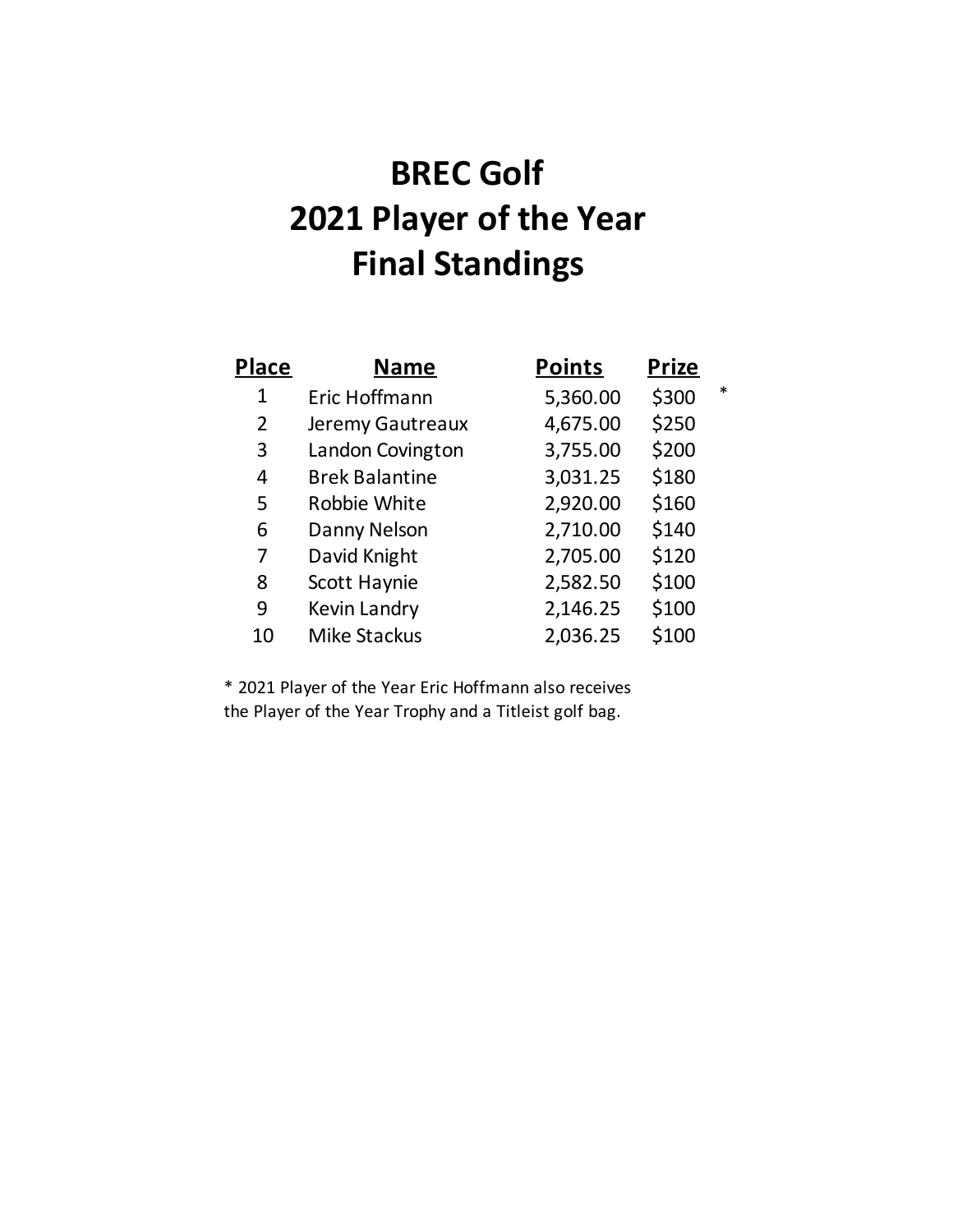## **BREC Golf 2021 Player of the Year Final Standings**

| Place          | <b>Name</b>           | <b>Points</b> | <u>Prize</u> |        |
|----------------|-----------------------|---------------|--------------|--------|
| 1              | Eric Hoffmann         | 5,360.00      | \$300        | $\ast$ |
| $\overline{2}$ | Jeremy Gautreaux      | 4,675.00      | \$250        |        |
| 3              | Landon Covington      | 3,755.00      | \$200        |        |
| 4              | <b>Brek Balantine</b> | 3,031.25      | \$180        |        |
| 5              | Robbie White          | 2,920.00      | \$160        |        |
| 6              | Danny Nelson          | 2,710.00      | \$140        |        |
| 7              | David Knight          | 2,705.00      | \$120        |        |
| 8              | Scott Haynie          | 2,582.50      | \$100        |        |
| 9              | Kevin Landry          | 2,146.25      | \$100        |        |
| 10             | <b>Mike Stackus</b>   | 2,036.25      | \$100        |        |

\* 2021 Player of the Year Eric Hoffmann also receives the Player of the Year Trophy and a Titleist golf bag.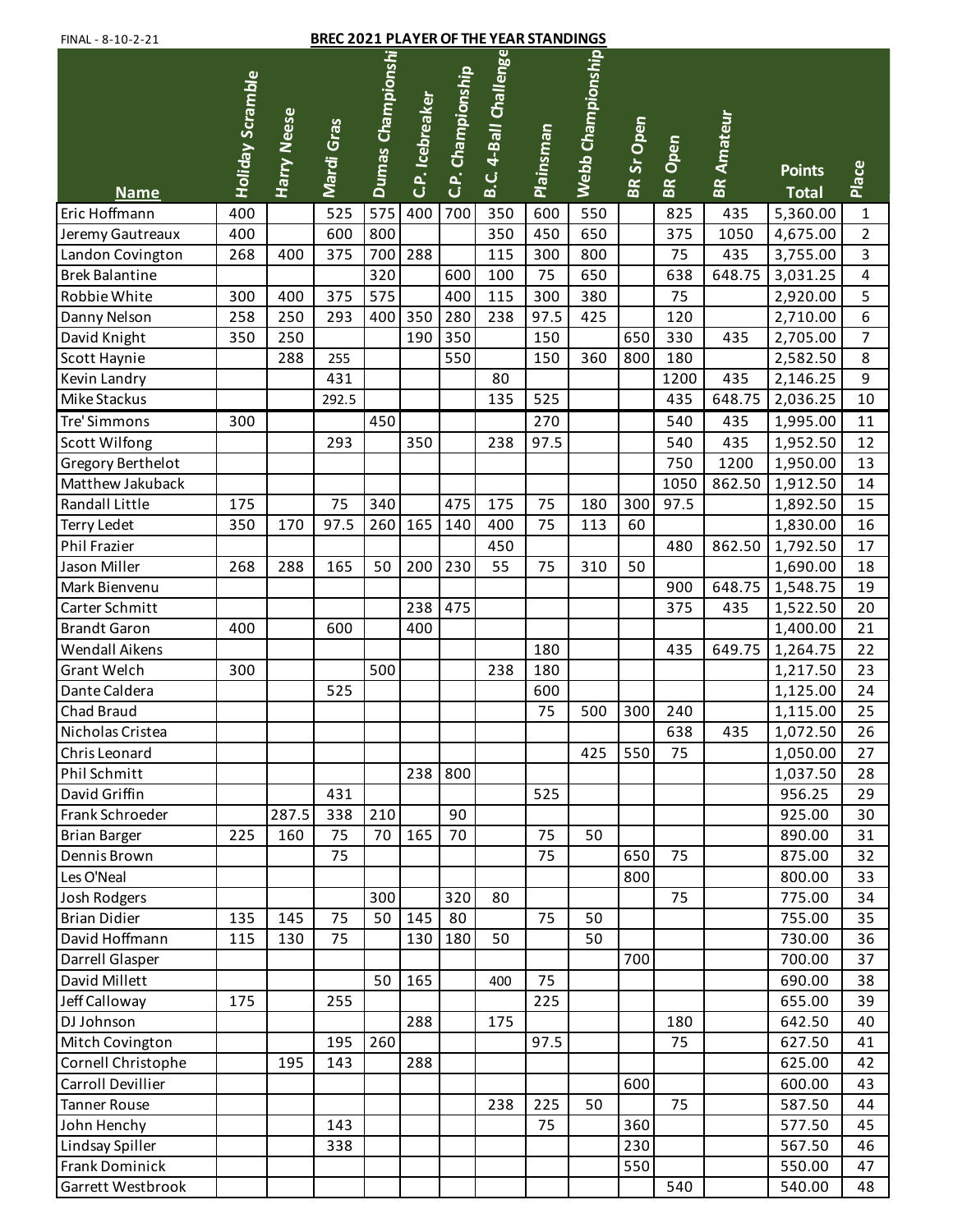## FINAL - 8-10-2-21 **BREC 2021 PLAYER OF THE YEAR STANDINGS**

| $111177$ $01022$             |                  |                    |            |                   |                 | .                 |                       |                  |                   |            |           |                   |                          |                         |
|------------------------------|------------------|--------------------|------------|-------------------|-----------------|-------------------|-----------------------|------------------|-------------------|------------|-----------|-------------------|--------------------------|-------------------------|
|                              |                  |                    |            | Dumas Championshi |                 |                   | B.C. 4-Ball Challenge |                  | Webb Championship |            |           |                   |                          |                         |
|                              | Holiday Scramble |                    |            |                   |                 | C.P. Championship |                       |                  |                   |            |           |                   |                          |                         |
|                              |                  |                    |            |                   |                 |                   |                       |                  |                   |            |           |                   |                          |                         |
|                              |                  |                    |            |                   |                 |                   |                       |                  |                   |            |           |                   |                          |                         |
|                              |                  |                    |            |                   |                 |                   |                       |                  |                   |            | Open      |                   | <b>Points</b>            |                         |
|                              |                  | <b>Harry Neese</b> | Mardi Gras |                   | C.P. Icebreaker |                   |                       | <b>Plainsman</b> |                   | BR Sr Open | <b>BR</b> | <b>BR Amateur</b> |                          | Place                   |
| <b>Name</b><br>Eric Hoffmann | 400              |                    | 525        | 575               | 400             | 700               | 350                   | 600              | 550               |            | 825       | 435               | <b>Total</b><br>5,360.00 | $\mathbf{1}$            |
| Jeremy Gautreaux             | 400              |                    | 600        | 800               |                 |                   | 350                   | 450              | 650               |            | 375       | 1050              | 4,675.00                 | $\overline{2}$          |
| Landon Covington             | 268              | 400                | 375        | 700               | 288             |                   | 115                   | 300              | 800               |            | 75        | 435               | 3,755.00                 | $\overline{\mathbf{3}}$ |
| <b>Brek Balantine</b>        |                  |                    |            | 320               |                 | 600               | 100                   | 75               | 650               |            | 638       | 648.75            | 3,031.25                 | $\overline{4}$          |
| Robbie White                 | 300              | 400                | 375        | 575               |                 | 400               | 115                   | 300              | 380               |            | 75        |                   | 2,920.00                 | 5                       |
| Danny Nelson                 | 258              | 250                | 293        | 400               | 350             | 280               | 238                   | 97.5             | 425               |            | 120       |                   | 2,710.00                 | 6                       |
| David Knight                 | 350              | 250                |            |                   | 190             | 350               |                       | 150              |                   | 650        | 330       | 435               | 2,705.00                 | $\overline{7}$          |
| Scott Haynie                 |                  | 288                | 255        |                   |                 | 550               |                       | 150              | 360               | 800        | 180       |                   | 2,582.50                 | 8                       |
| Kevin Landry                 |                  |                    | 431        |                   |                 |                   | 80                    |                  |                   |            | 1200      | 435               | 2,146.25                 | 9                       |
| Mike Stackus                 |                  |                    | 292.5      |                   |                 |                   | 135                   | 525              |                   |            | 435       | 648.75            | 2,036.25                 | 10                      |
| <b>Tre' Simmons</b>          | 300              |                    |            | 450               |                 |                   |                       | 270              |                   |            | 540       | 435               | 1,995.00                 | 11                      |
| Scott Wilfong                |                  |                    | 293        |                   | 350             |                   | 238                   | 97.5             |                   |            | 540       | 435               |                          | 12                      |
| <b>Gregory Berthelot</b>     |                  |                    |            |                   |                 |                   |                       |                  |                   |            | 750       | 1200              | 1,952.50                 | 13                      |
| Matthew Jakuback             |                  |                    |            |                   |                 |                   |                       |                  |                   |            | 1050      | 862.50            | 1,950.00                 | 14                      |
| Randall Little               | 175              |                    | 75         | 340               |                 | 475               | 175                   | 75               | 180               | 300        | 97.5      |                   | 1,912.50<br>1,892.50     | 15                      |
| <b>Terry Ledet</b>           | 350              | 170                | 97.5       | 260               | 165             | 140               | 400                   | 75               | 113               | 60         |           |                   | 1,830.00                 | 16                      |
| Phil Frazier                 |                  |                    |            |                   |                 |                   | 450                   |                  |                   |            | 480       | 862.50            | 1,792.50                 | 17                      |
| Jason Miller                 | 268              | 288                | 165        | 50                | 200             | 230               | 55                    | 75               | 310               | 50         |           |                   | 1,690.00                 | 18                      |
| Mark Bienvenu                |                  |                    |            |                   |                 |                   |                       |                  |                   |            | 900       | 648.75            | 1,548.75                 | 19                      |
| Carter Schmitt               |                  |                    |            |                   | 238             | 475               |                       |                  |                   |            | 375       | 435               | 1,522.50                 | 20                      |
| <b>Brandt Garon</b>          | 400              |                    | 600        |                   | 400             |                   |                       |                  |                   |            |           |                   | 1,400.00                 | 21                      |
| Wendall Aikens               |                  |                    |            |                   |                 |                   |                       | 180              |                   |            | 435       | 649.75            | 1,264.75                 | 22                      |
| <b>Grant Welch</b>           | 300              |                    |            | 500               |                 |                   | 238                   | 180              |                   |            |           |                   | 1,217.50                 | 23                      |
| Dante Caldera                |                  |                    | 525        |                   |                 |                   |                       | 600              |                   |            |           |                   | 1,125.00                 | 24                      |
| Chad Braud                   |                  |                    |            |                   |                 |                   |                       | 75               | 500               | 300        | 240       |                   | 1,115.00                 | 25                      |
| Nicholas Cristea             |                  |                    |            |                   |                 |                   |                       |                  |                   |            | 638       | 435               | 1,072.50                 | 26                      |
| Chris Leonard                |                  |                    |            |                   |                 |                   |                       |                  | 425               | 550        | 75        |                   | 1,050.00                 | 27                      |
| <b>Phil Schmitt</b>          |                  |                    |            |                   | 238             | 800               |                       |                  |                   |            |           |                   | 1,037.50                 | 28                      |
| David Griffin                |                  |                    | 431        |                   |                 |                   |                       | 525              |                   |            |           |                   | 956.25                   | 29                      |
| Frank Schroeder              |                  | 287.5              | 338        | 210               |                 | 90                |                       |                  |                   |            |           |                   | 925.00                   | 30                      |
| <b>Brian Barger</b>          | 225              | 160                | 75         | 70                | 165             | 70                |                       | 75               | 50                |            |           |                   | 890.00                   | 31                      |
| Dennis Brown                 |                  |                    | 75         |                   |                 |                   |                       | 75               |                   | 650        | 75        |                   | 875.00                   | 32                      |
| Les O'Neal                   |                  |                    |            |                   |                 |                   |                       |                  |                   | 800        |           |                   | 800.00                   | 33                      |
| Josh Rodgers                 |                  |                    |            | 300               |                 | 320               | 80                    |                  |                   |            | 75        |                   | 775.00                   | 34                      |
| <b>Brian Didier</b>          | 135              | 145                | 75         | 50                | 145             | 80                |                       | 75               | 50                |            |           |                   | 755.00                   | 35                      |
| David Hoffmann               | 115              | 130                | 75         |                   | 130             | 180               | 50                    |                  | 50                |            |           |                   | 730.00                   | 36                      |
| Darrell Glasper              |                  |                    |            |                   |                 |                   |                       |                  |                   | 700        |           |                   | 700.00                   | 37                      |
| David Millett                |                  |                    |            | 50                | 165             |                   | 400                   | 75               |                   |            |           |                   | 690.00                   | 38                      |
| Jeff Calloway                | 175              |                    | 255        |                   |                 |                   |                       | 225              |                   |            |           |                   | 655.00                   | 39                      |
| DJ Johnson                   |                  |                    |            |                   | 288             |                   | 175                   |                  |                   |            | 180       |                   | 642.50                   | 40                      |
| Mitch Covington              |                  |                    | 195        | 260               |                 |                   |                       | 97.5             |                   |            | 75        |                   | 627.50                   | 41                      |
| Cornell Christophe           |                  | 195                | 143        |                   | 288             |                   |                       |                  |                   |            |           |                   | 625.00                   | 42                      |
| <b>Carroll Devillier</b>     |                  |                    |            |                   |                 |                   |                       |                  |                   | 600        |           |                   | 600.00                   | 43                      |
| <b>Tanner Rouse</b>          |                  |                    |            |                   |                 |                   | 238                   | 225              | 50                |            | 75        |                   | 587.50                   | 44                      |
| John Henchy                  |                  |                    | 143        |                   |                 |                   |                       | 75               |                   | 360        |           |                   | 577.50                   | 45                      |
| Lindsay Spiller              |                  |                    | 338        |                   |                 |                   |                       |                  |                   | 230        |           |                   | 567.50                   | 46                      |
| <b>Frank Dominick</b>        |                  |                    |            |                   |                 |                   |                       |                  |                   | 550        |           |                   | 550.00                   | 47                      |
| Garrett Westbrook            |                  |                    |            |                   |                 |                   |                       |                  |                   |            | 540       |                   | 540.00                   | 48                      |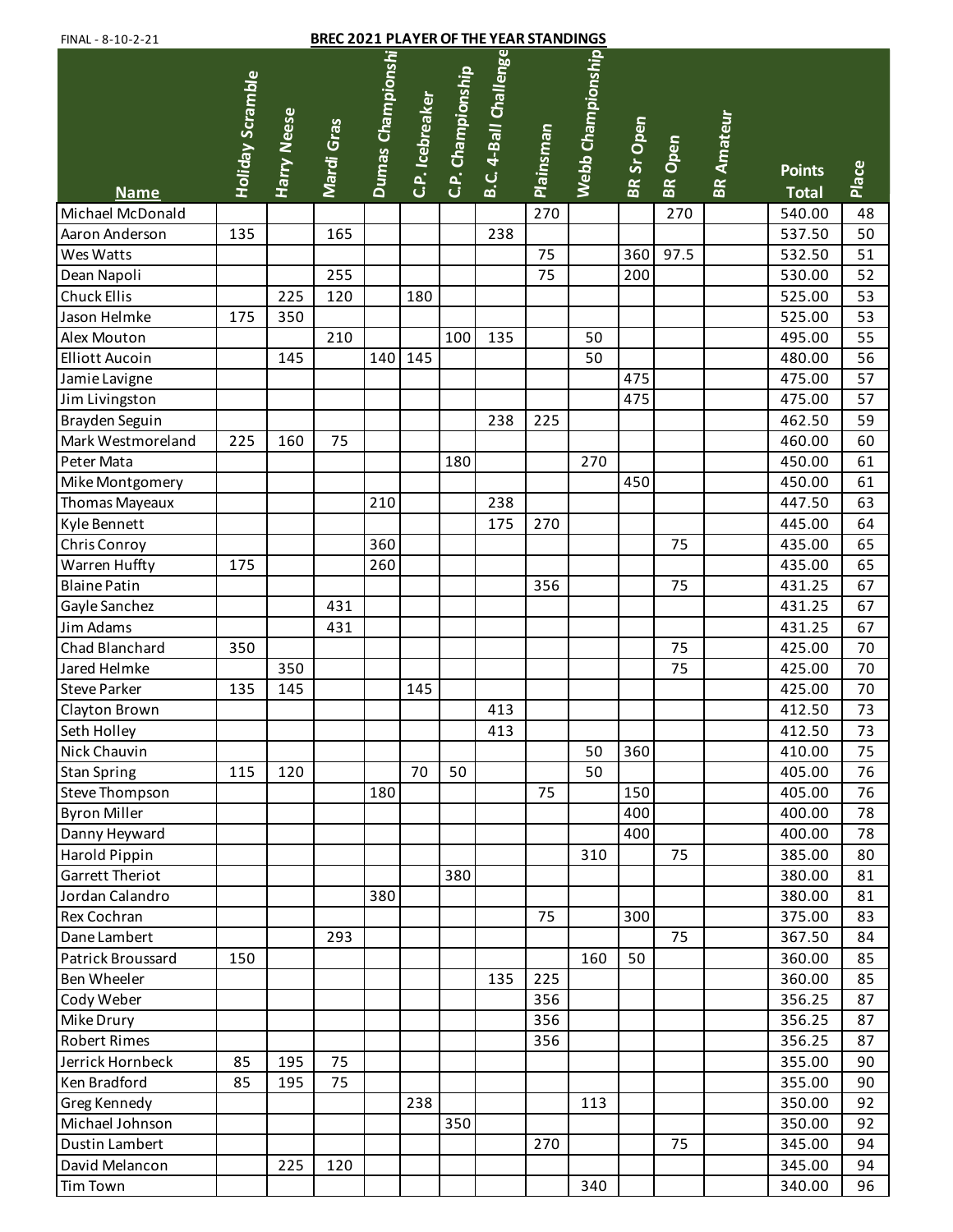| <b>BREC 2021 PLAYER OF THE YEAR STANDINGS</b><br>FINAL - 8-10-2-21 |                  |                    |            |                  |                 |                   |                      |           |                   |            |                |                   |                               |       |
|--------------------------------------------------------------------|------------------|--------------------|------------|------------------|-----------------|-------------------|----------------------|-----------|-------------------|------------|----------------|-------------------|-------------------------------|-------|
| <b>Name</b>                                                        | Holiday Scramble | <b>Harry Neese</b> | Mardi Gras | Dumas Championsh | C.P. Icebreaker | C.P. Championship | B.C. 4-Ball Challeng | Plainsman | Webb Championship | BR Sr Open | <b>BR</b> Open | <b>BR Amateur</b> | <b>Points</b><br><b>Total</b> | Place |
| Michael McDonald                                                   |                  |                    |            |                  |                 |                   |                      | 270       |                   |            | 270            |                   | 540.00                        | 48    |
| Aaron Anderson                                                     | 135              |                    | 165        |                  |                 |                   | 238                  |           |                   |            |                |                   | 537.50                        | 50    |
| Wes Watts                                                          |                  |                    |            |                  |                 |                   |                      | 75        |                   | 360        | 97.5           |                   | 532.50                        | 51    |
| Dean Napoli                                                        |                  |                    | 255        |                  |                 |                   |                      | 75        |                   | 200        |                |                   | 530.00                        | 52    |
| <b>Chuck Ellis</b>                                                 |                  | 225                | 120        |                  | 180             |                   |                      |           |                   |            |                |                   | 525.00                        | 53    |
| Jason Helmke                                                       | 175              | 350                |            |                  |                 |                   |                      |           |                   |            |                |                   | 525.00                        | 53    |
| Alex Mouton                                                        |                  |                    | 210        |                  |                 | 100               | 135                  |           | 50                |            |                |                   | 495.00                        | 55    |
| <b>Elliott Aucoin</b>                                              |                  | 145                |            | 140              | 145             |                   |                      |           | 50                |            |                |                   | 480.00                        | 56    |
| Jamie Lavigne                                                      |                  |                    |            |                  |                 |                   |                      |           |                   | 475        |                |                   | 475.00                        | 57    |
| Jim Livingston                                                     |                  |                    |            |                  |                 |                   |                      |           |                   | 475        |                |                   | 475.00                        | 57    |
| Brayden Seguin                                                     |                  |                    |            |                  |                 |                   | 238                  | 225       |                   |            |                |                   | 462.50                        | 59    |
| Mark Westmoreland                                                  | 225              | 160                | 75         |                  |                 |                   |                      |           |                   |            |                |                   | 460.00                        | 60    |
| Peter Mata                                                         |                  |                    |            |                  |                 | 180               |                      |           | 270               |            |                |                   | 450.00                        | 61    |
| Mike Montgomery                                                    |                  |                    |            |                  |                 |                   |                      |           |                   | 450        |                |                   | 450.00                        | 61    |
| Thomas Mayeaux                                                     |                  |                    |            | 210              |                 |                   | 238                  |           |                   |            |                |                   | 447.50                        | 63    |
| Kyle Bennett                                                       |                  |                    |            |                  |                 |                   | 175                  | 270       |                   |            |                |                   | 445.00                        | 64    |
| Chris Conroy                                                       |                  |                    |            | 360              |                 |                   |                      |           |                   |            | 75             |                   | 435.00                        | 65    |
| Warren Huffty                                                      | 175              |                    |            | 260              |                 |                   |                      |           |                   |            |                |                   | 435.00                        | 65    |
| <b>Blaine Patin</b>                                                |                  |                    |            |                  |                 |                   |                      | 356       |                   |            | 75             |                   | 431.25                        | 67    |
| Gayle Sanchez                                                      |                  |                    | 431        |                  |                 |                   |                      |           |                   |            |                |                   | 431.25                        | 67    |
| Jim Adams                                                          |                  |                    | 431        |                  |                 |                   |                      |           |                   |            |                |                   | 431.25                        | 67    |
| Chad Blanchard                                                     | 350              |                    |            |                  |                 |                   |                      |           |                   |            | 75             |                   | 425.00                        | 70    |
| Jared Helmke                                                       |                  | 350                |            |                  |                 |                   |                      |           |                   |            | 75             |                   | 425.00                        | 70    |
| <b>Steve Parker</b>                                                | 135              | 145                |            |                  | 145             |                   |                      |           |                   |            |                |                   | 425.00                        | 70    |
| Clayton Brown                                                      |                  |                    |            |                  |                 |                   | 413                  |           |                   |            |                |                   | 412.50                        | 73    |
| Seth Holley                                                        |                  |                    |            |                  |                 |                   | 413                  |           |                   |            |                |                   | 412.50                        | 73    |
| Nick Chauvin                                                       |                  |                    |            |                  |                 |                   |                      |           | 50                | 360        |                |                   | 410.00                        | 75    |
| <b>Stan Spring</b>                                                 | 115              | 120                |            |                  | 70              | 50                |                      |           | 50                |            |                |                   | 405.00                        | 76    |
| <b>Steve Thompson</b>                                              |                  |                    |            | 180              |                 |                   |                      | 75        |                   | 150        |                |                   | 405.00                        | 76    |
| <b>Byron Miller</b>                                                |                  |                    |            |                  |                 |                   |                      |           |                   | 400        |                |                   | 400.00                        | 78    |
| Danny Heyward                                                      |                  |                    |            |                  |                 |                   |                      |           |                   | 400        |                |                   | 400.00                        | 78    |
| Harold Pippin                                                      |                  |                    |            |                  |                 |                   |                      |           | 310               |            | 75             |                   | 385.00                        | 80    |
| <b>Garrett Theriot</b>                                             |                  |                    |            |                  |                 | 380               |                      |           |                   |            |                |                   | 380.00                        | 81    |
| Jordan Calandro                                                    |                  |                    |            | 380              |                 |                   |                      |           |                   |            |                |                   | 380.00                        | 81    |
| <b>Rex Cochran</b>                                                 |                  |                    |            |                  |                 |                   |                      | 75        |                   | 300        |                |                   | 375.00                        | 83    |
| Dane Lambert                                                       |                  |                    | 293        |                  |                 |                   |                      |           |                   |            | 75             |                   | 367.50                        | 84    |
| Patrick Broussard                                                  | 150              |                    |            |                  |                 |                   |                      |           | 160               | 50         |                |                   | 360.00                        | 85    |
| <b>Ben Wheeler</b>                                                 |                  |                    |            |                  |                 |                   | 135                  | 225       |                   |            |                |                   | 360.00                        | 85    |
| Cody Weber                                                         |                  |                    |            |                  |                 |                   |                      | 356       |                   |            |                |                   | 356.25                        | 87    |
| Mike Drury                                                         |                  |                    |            |                  |                 |                   |                      | 356       |                   |            |                |                   | 356.25                        | 87    |
| <b>Robert Rimes</b>                                                |                  |                    |            |                  |                 |                   |                      | 356       |                   |            |                |                   | 356.25                        | 87    |
| Jerrick Hornbeck                                                   | 85               | 195                | 75         |                  |                 |                   |                      |           |                   |            |                |                   | 355.00                        | 90    |
| Ken Bradford                                                       | 85               | 195                | 75         |                  |                 |                   |                      |           |                   |            |                |                   | 355.00                        | 90    |
| Greg Kennedy                                                       |                  |                    |            |                  | 238             |                   |                      |           | 113               |            |                |                   | 350.00                        | 92    |
| Michael Johnson                                                    |                  |                    |            |                  |                 | 350               |                      |           |                   |            |                |                   | 350.00                        | 92    |
| Dustin Lambert                                                     |                  |                    |            |                  |                 |                   |                      | 270       |                   |            | 75             |                   | 345.00                        | 94    |
| David Melancon                                                     |                  | 225                | 120        |                  |                 |                   |                      |           |                   |            |                |                   | 345.00                        | 94    |
| <b>Tim Town</b>                                                    |                  |                    |            |                  |                 |                   |                      |           | 340               |            |                |                   | 340.00                        | 96    |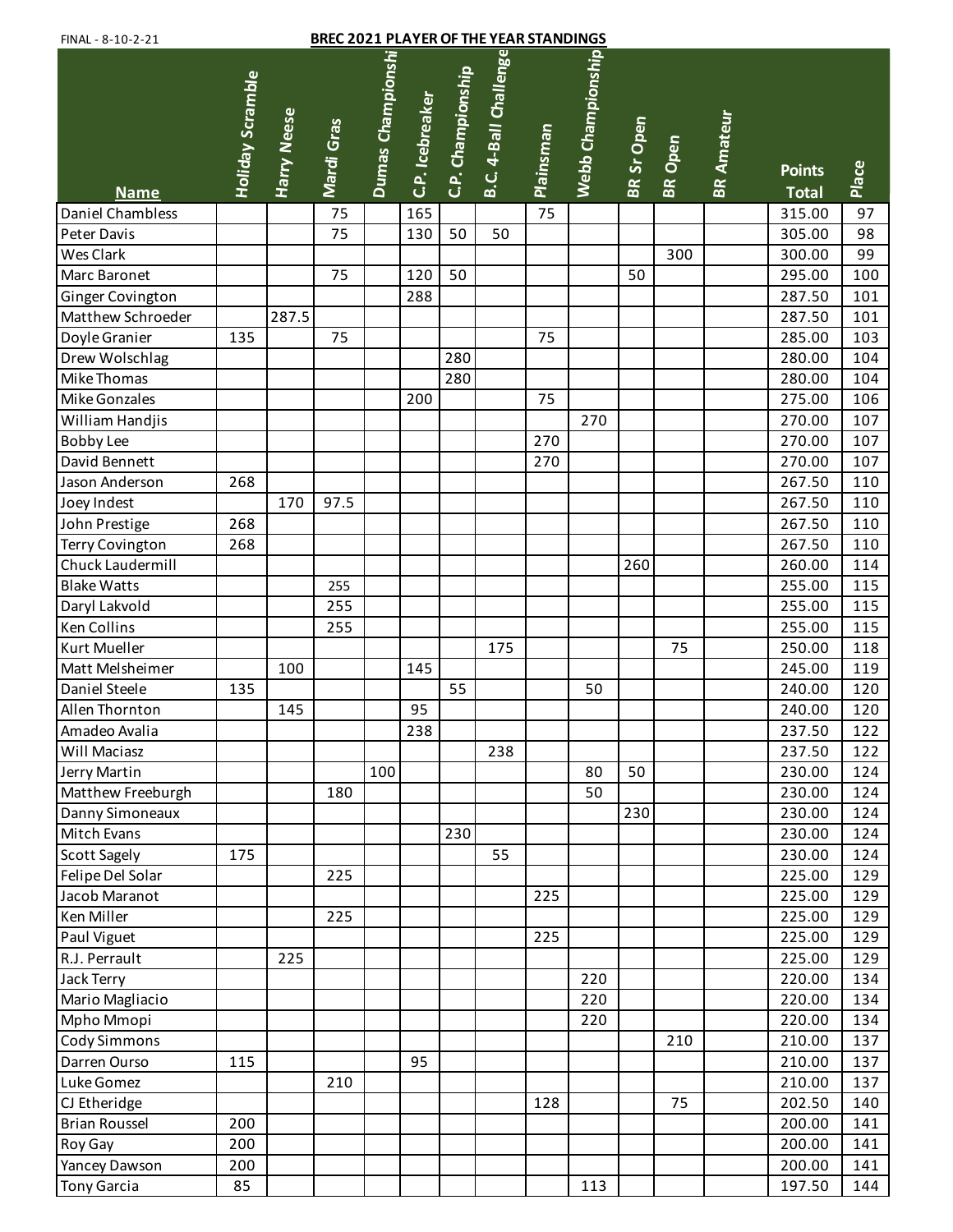| <b>BREC 2021 PLAYER OF THE YEAR STANDINGS</b><br>FINAL - 8-10-2-21 |                  |                    |            |                   |                 |                   |                       |                  |                   |                   |                |                   |                               |       |
|--------------------------------------------------------------------|------------------|--------------------|------------|-------------------|-----------------|-------------------|-----------------------|------------------|-------------------|-------------------|----------------|-------------------|-------------------------------|-------|
| <b>Name</b>                                                        | Holiday Scramble | <b>Harry Neese</b> | Mardi Gras | Dumas Championshi | C.P. Icebreaker | C.P. Championship | B.C. 4-Ball Challenge | <b>Plainsman</b> | Webb Championship | <b>BR Sr Open</b> | <b>BR</b> Open | <b>BR Amateur</b> | <b>Points</b><br><b>Total</b> | Place |
| Daniel Chambless                                                   |                  |                    | 75         |                   | 165             |                   |                       | 75               |                   |                   |                |                   | 315.00                        | 97    |
| Peter Davis                                                        |                  |                    | 75         |                   | 130             | 50                | 50                    |                  |                   |                   |                |                   | 305.00                        | 98    |
| Wes Clark                                                          |                  |                    |            |                   |                 |                   |                       |                  |                   |                   | 300            |                   | 300.00                        | 99    |
| Marc Baronet                                                       |                  |                    | 75         |                   | 120             | 50                |                       |                  |                   | 50                |                |                   | 295.00                        | 100   |
| Ginger Covington                                                   |                  |                    |            |                   | 288             |                   |                       |                  |                   |                   |                |                   | 287.50                        | 101   |
| Matthew Schroeder                                                  |                  | 287.5              |            |                   |                 |                   |                       |                  |                   |                   |                |                   | 287.50                        | 101   |
| Doyle Granier                                                      | 135              |                    | 75         |                   |                 |                   |                       | 75               |                   |                   |                |                   | 285.00                        | 103   |
| Drew Wolschlag                                                     |                  |                    |            |                   |                 | 280               |                       |                  |                   |                   |                |                   | 280.00                        | 104   |
| Mike Thomas                                                        |                  |                    |            |                   |                 | 280               |                       |                  |                   |                   |                |                   | 280.00                        | 104   |
| Mike Gonzales                                                      |                  |                    |            |                   | 200             |                   |                       | 75               |                   |                   |                |                   | 275.00                        | 106   |
| William Handjis                                                    |                  |                    |            |                   |                 |                   |                       |                  | 270               |                   |                |                   | 270.00                        | 107   |
| <b>Bobby Lee</b>                                                   |                  |                    |            |                   |                 |                   |                       | 270              |                   |                   |                |                   | 270.00                        | 107   |
| David Bennett                                                      |                  |                    |            |                   |                 |                   |                       | 270              |                   |                   |                |                   | 270.00                        | 107   |
| Jason Anderson                                                     | 268              |                    |            |                   |                 |                   |                       |                  |                   |                   |                |                   | 267.50                        | 110   |
| Joey Indest                                                        |                  | 170                | 97.5       |                   |                 |                   |                       |                  |                   |                   |                |                   | 267.50                        | 110   |
| John Prestige                                                      | 268              |                    |            |                   |                 |                   |                       |                  |                   |                   |                |                   | 267.50                        | 110   |
| Terry Covington                                                    | 268              |                    |            |                   |                 |                   |                       |                  |                   |                   |                |                   | 267.50                        | 110   |
| Chuck Laudermill                                                   |                  |                    |            |                   |                 |                   |                       |                  |                   | 260               |                |                   | 260.00                        | 114   |
| <b>Blake Watts</b>                                                 |                  |                    | 255        |                   |                 |                   |                       |                  |                   |                   |                |                   | 255.00                        | 115   |
| Daryl Lakvold                                                      |                  |                    | 255        |                   |                 |                   |                       |                  |                   |                   |                |                   | 255.00                        | 115   |
| Ken Collins                                                        |                  |                    | 255        |                   |                 |                   |                       |                  |                   |                   |                |                   | 255.00                        | 115   |
| Kurt Mueller                                                       |                  |                    |            |                   |                 |                   | 175                   |                  |                   |                   | 75             |                   | 250.00                        | 118   |
| Matt Melsheimer                                                    |                  | 100                |            |                   | 145             |                   |                       |                  |                   |                   |                |                   | 245.00                        | 119   |
| Daniel Steele                                                      | 135              |                    |            |                   |                 | 55                |                       |                  | 50                |                   |                |                   | 240.00                        | 120   |
| Allen Thornton                                                     |                  | 145                |            |                   | 95              |                   |                       |                  |                   |                   |                |                   | 240.00                        | 120   |
| Amadeo Avalia                                                      |                  |                    |            |                   | 238             |                   |                       |                  |                   |                   |                |                   | 237.50                        | 122   |
| Will Maciasz                                                       |                  |                    |            |                   |                 |                   | 238                   |                  |                   |                   |                |                   | 237.50                        | 122   |
| Jerry Martin                                                       |                  |                    |            | 100               |                 |                   |                       |                  | 80                | 50                |                |                   | 230.00                        | 124   |
| Matthew Freeburgh                                                  |                  |                    | 180        |                   |                 |                   |                       |                  | 50                |                   |                |                   | 230.00                        | 124   |
| Danny Simoneaux                                                    |                  |                    |            |                   |                 |                   |                       |                  |                   | 230               |                |                   | 230.00                        | 124   |
| Mitch Evans                                                        |                  |                    |            |                   |                 | 230               |                       |                  |                   |                   |                |                   | 230.00                        | 124   |
| Scott Sagely                                                       | 175              |                    |            |                   |                 |                   | 55                    |                  |                   |                   |                |                   | 230.00                        | 124   |
| Felipe Del Solar                                                   |                  |                    | 225        |                   |                 |                   |                       |                  |                   |                   |                |                   | 225.00                        | 129   |
| Jacob Maranot                                                      |                  |                    |            |                   |                 |                   |                       | 225              |                   |                   |                |                   | 225.00                        | 129   |
| Ken Miller                                                         |                  |                    | 225        |                   |                 |                   |                       |                  |                   |                   |                |                   | 225.00                        | 129   |
| Paul Viguet                                                        |                  |                    |            |                   |                 |                   |                       | 225              |                   |                   |                |                   | 225.00                        | 129   |
| R.J. Perrault                                                      |                  | 225                |            |                   |                 |                   |                       |                  |                   |                   |                |                   | 225.00                        | 129   |
| Jack Terry                                                         |                  |                    |            |                   |                 |                   |                       |                  | 220               |                   |                |                   | 220.00                        | 134   |
| Mario Magliacio                                                    |                  |                    |            |                   |                 |                   |                       |                  | 220               |                   |                |                   | 220.00                        | 134   |
| Mpho Mmopi                                                         |                  |                    |            |                   |                 |                   |                       |                  | 220               |                   |                |                   | 220.00                        | 134   |
| <b>Cody Simmons</b>                                                |                  |                    |            |                   |                 |                   |                       |                  |                   |                   | 210            |                   | 210.00                        | 137   |
| Darren Ourso                                                       | 115              |                    |            |                   | 95              |                   |                       |                  |                   |                   |                |                   | 210.00                        | 137   |
| Luke Gomez                                                         |                  |                    | 210        |                   |                 |                   |                       |                  |                   |                   |                |                   | 210.00                        | 137   |
| CJ Etheridge                                                       |                  |                    |            |                   |                 |                   |                       | 128              |                   |                   | 75             |                   | 202.50                        | 140   |
| <b>Brian Roussel</b>                                               | 200              |                    |            |                   |                 |                   |                       |                  |                   |                   |                |                   | 200.00                        | 141   |
| Roy Gay                                                            | 200              |                    |            |                   |                 |                   |                       |                  |                   |                   |                |                   | 200.00                        | 141   |
| Yancey Dawson                                                      | 200              |                    |            |                   |                 |                   |                       |                  |                   |                   |                |                   | 200.00                        | 141   |
| <b>Tony Garcia</b>                                                 | 85               |                    |            |                   |                 |                   |                       |                  | 113               |                   |                |                   | 197.50                        | 144   |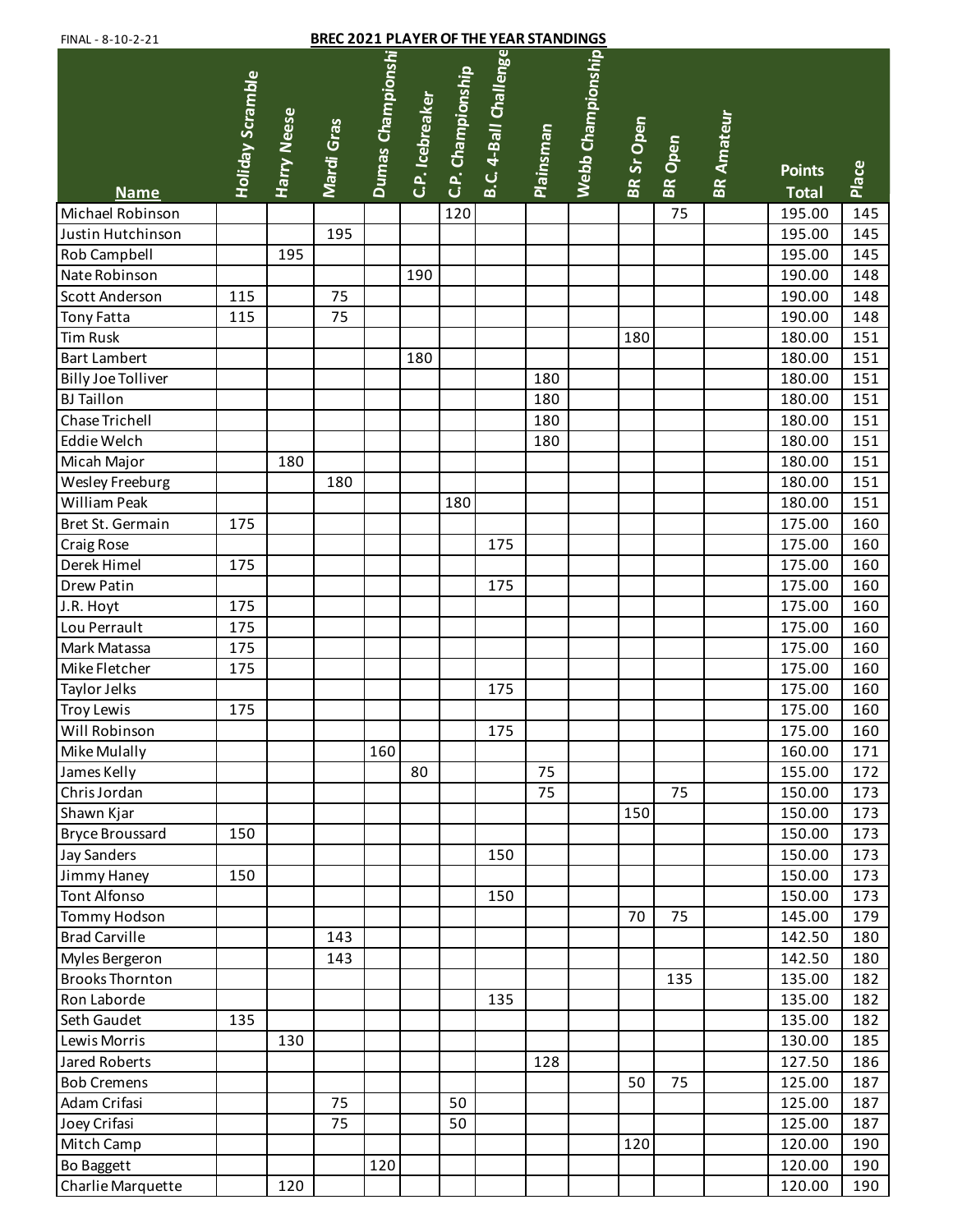| <b>BREC 2021 PLAYER OF THE YEAR STANDINGS</b><br>FINAL - 8-10-2-21 |                         |                    |            |                   |                 |                   |                       |                  |                   |            |                |                   |                               |       |
|--------------------------------------------------------------------|-------------------------|--------------------|------------|-------------------|-----------------|-------------------|-----------------------|------------------|-------------------|------------|----------------|-------------------|-------------------------------|-------|
| <b>Name</b>                                                        | <b>Holiday Scramble</b> | <b>Harry Neese</b> | Mardi Gras | Dumas Championshi | C.P. Icebreaker | C.P. Championship | B.C. 4-Ball Challenge | <b>Plainsman</b> | Webb Championship | BR Sr Open | <b>BR</b> Open | <b>BR Amateur</b> | <b>Points</b><br><b>Total</b> | Place |
| Michael Robinson                                                   |                         |                    |            |                   |                 | 120               |                       |                  |                   |            | 75             |                   | 195.00                        | 145   |
| Justin Hutchinson                                                  |                         |                    | 195        |                   |                 |                   |                       |                  |                   |            |                |                   | 195.00                        | 145   |
| Rob Campbell                                                       |                         | 195                |            |                   |                 |                   |                       |                  |                   |            |                |                   | 195.00                        | 145   |
| Nate Robinson                                                      |                         |                    |            |                   | 190             |                   |                       |                  |                   |            |                |                   | 190.00                        | 148   |
| Scott Anderson                                                     | 115                     |                    | 75         |                   |                 |                   |                       |                  |                   |            |                |                   | 190.00                        | 148   |
| <b>Tony Fatta</b>                                                  | 115                     |                    | 75         |                   |                 |                   |                       |                  |                   |            |                |                   | 190.00                        | 148   |
| Tim Rusk                                                           |                         |                    |            |                   |                 |                   |                       |                  |                   | 180        |                |                   | 180.00                        | 151   |
| <b>Bart Lambert</b>                                                |                         |                    |            |                   | 180             |                   |                       |                  |                   |            |                |                   | 180.00                        | 151   |
| <b>Billy Joe Tolliver</b>                                          |                         |                    |            |                   |                 |                   |                       | 180              |                   |            |                |                   | 180.00                        | 151   |
| <b>BJ</b> Taillon                                                  |                         |                    |            |                   |                 |                   |                       | 180              |                   |            |                |                   | 180.00                        | 151   |
| Chase Trichell                                                     |                         |                    |            |                   |                 |                   |                       | 180              |                   |            |                |                   | 180.00                        | 151   |
| Eddie Welch                                                        |                         |                    |            |                   |                 |                   |                       | 180              |                   |            |                |                   | 180.00                        | 151   |
| Micah Major                                                        |                         | 180                |            |                   |                 |                   |                       |                  |                   |            |                |                   | 180.00                        | 151   |
| Wesley Freeburg                                                    |                         |                    | 180        |                   |                 |                   |                       |                  |                   |            |                |                   | 180.00                        | 151   |
| William Peak                                                       |                         |                    |            |                   |                 | 180               |                       |                  |                   |            |                |                   | 180.00                        | 151   |
| Bret St. Germain                                                   | 175                     |                    |            |                   |                 |                   |                       |                  |                   |            |                |                   | 175.00                        | 160   |
| <b>Craig Rose</b>                                                  |                         |                    |            |                   |                 |                   | 175                   |                  |                   |            |                |                   | 175.00                        | 160   |
| Derek Himel                                                        | 175                     |                    |            |                   |                 |                   |                       |                  |                   |            |                |                   | 175.00                        | 160   |
| Drew Patin                                                         |                         |                    |            |                   |                 |                   | 175                   |                  |                   |            |                |                   | 175.00                        | 160   |
| J.R. Hoyt                                                          | 175                     |                    |            |                   |                 |                   |                       |                  |                   |            |                |                   | 175.00                        | 160   |
| Lou Perrault                                                       | 175                     |                    |            |                   |                 |                   |                       |                  |                   |            |                |                   | 175.00                        | 160   |
| Mark Matassa                                                       | 175                     |                    |            |                   |                 |                   |                       |                  |                   |            |                |                   | 175.00                        | 160   |
| Mike Fletcher                                                      | 175                     |                    |            |                   |                 |                   |                       |                  |                   |            |                |                   | 175.00                        | 160   |
| Taylor Jelks                                                       |                         |                    |            |                   |                 |                   | 175                   |                  |                   |            |                |                   | 175.00                        | 160   |
| Troy Lewis                                                         | 175                     |                    |            |                   |                 |                   |                       |                  |                   |            |                |                   | 175.00                        | 160   |
| Will Robinson                                                      |                         |                    |            |                   |                 |                   | 175                   |                  |                   |            |                |                   | 175.00                        | 160   |
| Mike Mulally                                                       |                         |                    |            | 160               |                 |                   |                       |                  |                   |            |                |                   | 160.00                        | 171   |
| James Kelly                                                        |                         |                    |            |                   | 80              |                   |                       | 75               |                   |            |                |                   | 155.00                        | 172   |
| Chris Jordan                                                       |                         |                    |            |                   |                 |                   |                       | 75               |                   |            | 75             |                   | 150.00                        | 173   |
| Shawn Kjar                                                         |                         |                    |            |                   |                 |                   |                       |                  |                   | 150        |                |                   | 150.00                        | 173   |
| <b>Bryce Broussard</b>                                             | 150                     |                    |            |                   |                 |                   |                       |                  |                   |            |                |                   | 150.00                        | 173   |
| <b>Jay Sanders</b>                                                 |                         |                    |            |                   |                 |                   | 150                   |                  |                   |            |                |                   | 150.00                        | 173   |
| Jimmy Haney                                                        | 150                     |                    |            |                   |                 |                   |                       |                  |                   |            |                |                   | 150.00                        | 173   |
| <b>Tont Alfonso</b>                                                |                         |                    |            |                   |                 |                   | 150                   |                  |                   |            |                |                   | 150.00                        | 173   |
| <b>Tommy Hodson</b>                                                |                         |                    |            |                   |                 |                   |                       |                  |                   | 70         | 75             |                   | 145.00                        | 179   |
| <b>Brad Carville</b>                                               |                         |                    | 143        |                   |                 |                   |                       |                  |                   |            |                |                   | 142.50                        | 180   |
| Myles Bergeron                                                     |                         |                    | 143        |                   |                 |                   |                       |                  |                   |            |                |                   | 142.50                        | 180   |
| <b>Brooks Thornton</b>                                             |                         |                    |            |                   |                 |                   |                       |                  |                   |            | 135            |                   | 135.00                        | 182   |
| Ron Laborde                                                        |                         |                    |            |                   |                 |                   | 135                   |                  |                   |            |                |                   | 135.00                        | 182   |
| Seth Gaudet                                                        | 135                     |                    |            |                   |                 |                   |                       |                  |                   |            |                |                   | 135.00                        | 182   |
| Lewis Morris                                                       |                         | 130                |            |                   |                 |                   |                       |                  |                   |            |                |                   | 130.00                        | 185   |
| Jared Roberts                                                      |                         |                    |            |                   |                 |                   |                       | 128              |                   |            |                |                   | 127.50                        | 186   |
| <b>Bob Cremens</b>                                                 |                         |                    |            |                   |                 |                   |                       |                  |                   | 50         | 75             |                   | 125.00                        | 187   |
| Adam Crifasi                                                       |                         |                    | 75         |                   |                 | 50                |                       |                  |                   |            |                |                   | 125.00                        | 187   |
| Joey Crifasi                                                       |                         |                    | 75         |                   |                 | 50                |                       |                  |                   |            |                |                   | 125.00                        | 187   |
| Mitch Camp                                                         |                         |                    |            |                   |                 |                   |                       |                  |                   | 120        |                |                   | 120.00                        | 190   |
| <b>Bo Baggett</b>                                                  |                         |                    |            | 120               |                 |                   |                       |                  |                   |            |                |                   | 120.00                        | 190   |
| Charlie Marquette                                                  |                         | 120                |            |                   |                 |                   |                       |                  |                   |            |                |                   | 120.00                        | 190   |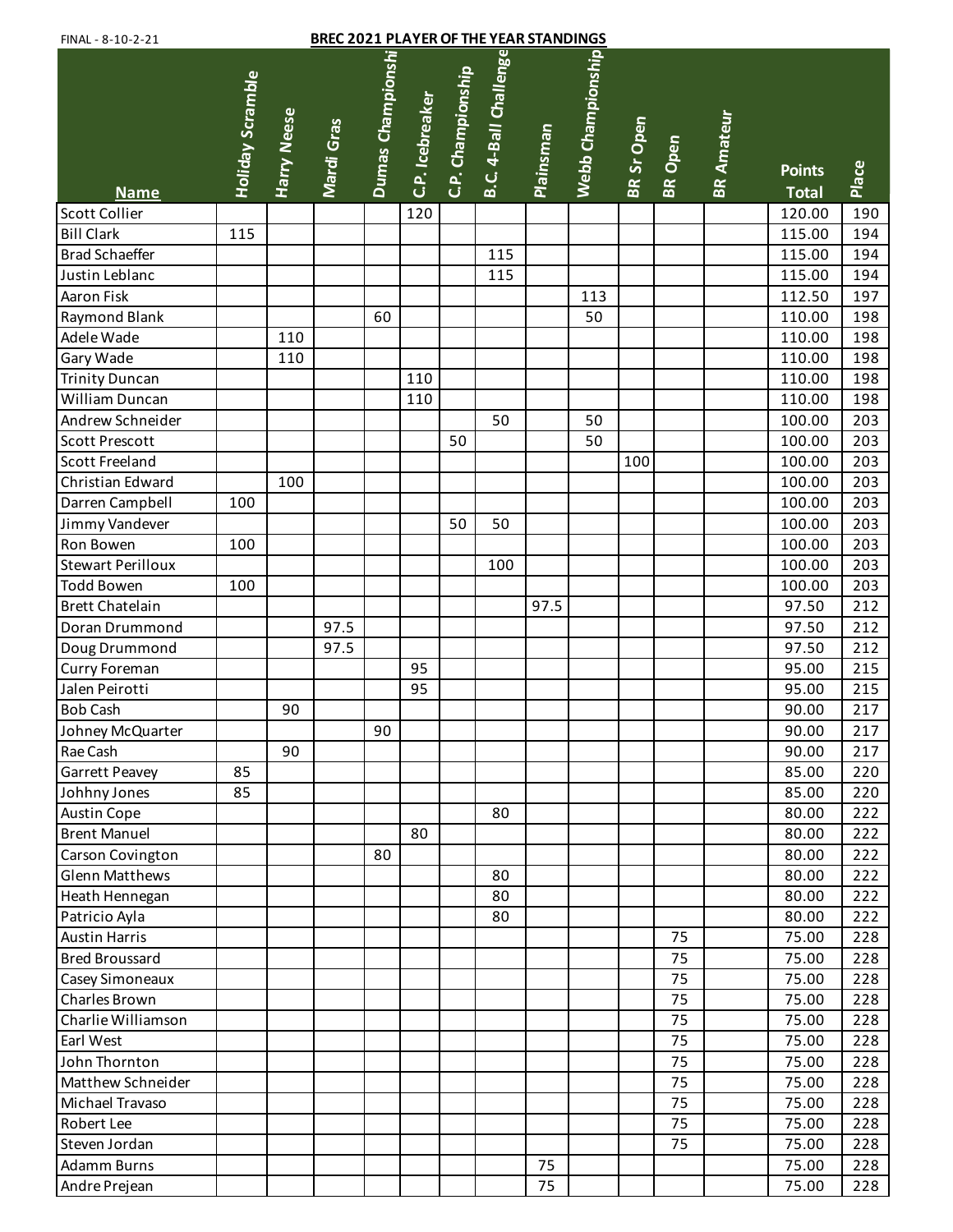| <b>BREC 2021 PLAYER OF THE YEAR STANDINGS</b><br>FINAL - 8-10-2-21 |                         |             |            |                   |                 |                   |                       |                  |                   |            |                |                   |                               |       |
|--------------------------------------------------------------------|-------------------------|-------------|------------|-------------------|-----------------|-------------------|-----------------------|------------------|-------------------|------------|----------------|-------------------|-------------------------------|-------|
| <b>Name</b>                                                        | <b>Holiday Scramble</b> | Harry Neese | Mardi Gras | Dumas Championshi | C.P. Icebreaker | C.P. Championship | B.C. 4-Ball Challenge | <b>Plainsman</b> | Webb Championship | BR Sr Open | <b>BR</b> Open | <b>BR Amateur</b> | <b>Points</b><br><b>Total</b> | Place |
| <b>Scott Collier</b>                                               |                         |             |            |                   | 120             |                   |                       |                  |                   |            |                |                   | 120.00                        | 190   |
| <b>Bill Clark</b>                                                  | 115                     |             |            |                   |                 |                   |                       |                  |                   |            |                |                   | 115.00                        | 194   |
| <b>Brad Schaeffer</b>                                              |                         |             |            |                   |                 |                   | 115                   |                  |                   |            |                |                   | 115.00                        | 194   |
| Justin Leblanc                                                     |                         |             |            |                   |                 |                   | 115                   |                  |                   |            |                |                   | 115.00                        | 194   |
| Aaron Fisk                                                         |                         |             |            |                   |                 |                   |                       |                  | 113               |            |                |                   | 112.50                        | 197   |
| Raymond Blank                                                      |                         |             |            | 60                |                 |                   |                       |                  | 50                |            |                |                   | 110.00                        | 198   |
| Adele Wade                                                         |                         | 110         |            |                   |                 |                   |                       |                  |                   |            |                |                   | 110.00                        | 198   |
| Gary Wade                                                          |                         | 110         |            |                   |                 |                   |                       |                  |                   |            |                |                   | 110.00                        | 198   |
| <b>Trinity Duncan</b>                                              |                         |             |            |                   | 110             |                   |                       |                  |                   |            |                |                   | 110.00                        | 198   |
| William Duncan                                                     |                         |             |            |                   | 110             |                   |                       |                  |                   |            |                |                   | 110.00                        | 198   |
| Andrew Schneider                                                   |                         |             |            |                   |                 |                   | 50                    |                  | 50                |            |                |                   | 100.00                        | 203   |
| <b>Scott Prescott</b>                                              |                         |             |            |                   |                 | 50                |                       |                  | 50                |            |                |                   | 100.00                        | 203   |
| Scott Freeland                                                     |                         |             |            |                   |                 |                   |                       |                  |                   | 100        |                |                   | 100.00                        | 203   |
| Christian Edward                                                   |                         | 100         |            |                   |                 |                   |                       |                  |                   |            |                |                   | 100.00                        | 203   |
| Darren Campbell                                                    | 100                     |             |            |                   |                 |                   |                       |                  |                   |            |                |                   | 100.00                        | 203   |
| Jimmy Vandever                                                     |                         |             |            |                   |                 | 50                | 50                    |                  |                   |            |                |                   | 100.00                        | 203   |
| Ron Bowen                                                          | 100                     |             |            |                   |                 |                   |                       |                  |                   |            |                |                   | 100.00                        | 203   |
| <b>Stewart Perilloux</b>                                           |                         |             |            |                   |                 |                   | 100                   |                  |                   |            |                |                   | 100.00                        | 203   |
| <b>Todd Bowen</b>                                                  | 100                     |             |            |                   |                 |                   |                       |                  |                   |            |                |                   | 100.00                        | 203   |
| <b>Brett Chatelain</b>                                             |                         |             |            |                   |                 |                   |                       | 97.5             |                   |            |                |                   | 97.50                         | 212   |
| Doran Drummond                                                     |                         |             | 97.5       |                   |                 |                   |                       |                  |                   |            |                |                   | 97.50                         | 212   |
| Doug Drummond                                                      |                         |             | 97.5       |                   |                 |                   |                       |                  |                   |            |                |                   | 97.50                         | 212   |
| Curry Foreman                                                      |                         |             |            |                   | 95              |                   |                       |                  |                   |            |                |                   | 95.00                         | 215   |
| Jalen Peirotti                                                     |                         |             |            |                   | 95              |                   |                       |                  |                   |            |                |                   | 95.00                         | 215   |
| <b>Bob Cash</b>                                                    |                         | 90          |            |                   |                 |                   |                       |                  |                   |            |                |                   | 90.00                         | 217   |
| Johney McQuarter                                                   |                         |             |            | 90                |                 |                   |                       |                  |                   |            |                |                   | 90.00                         | 217   |
| Rae Cash                                                           |                         | 90          |            |                   |                 |                   |                       |                  |                   |            |                |                   | 90.00                         | 217   |
| Garrett Peavey                                                     | 85                      |             |            |                   |                 |                   |                       |                  |                   |            |                |                   | 85.00                         | 220   |
| Johhny Jones                                                       | 85                      |             |            |                   |                 |                   |                       |                  |                   |            |                |                   | 85.00                         | 220   |
| Austin Cope                                                        |                         |             |            |                   |                 |                   | 80                    |                  |                   |            |                |                   | 80.00                         | 222   |
| <b>Brent Manuel</b>                                                |                         |             |            |                   | 80              |                   |                       |                  |                   |            |                |                   | 80.00                         | 222   |
| Carson Covington                                                   |                         |             |            | 80                |                 |                   |                       |                  |                   |            |                |                   | 80.00                         | 222   |
| <b>Glenn Matthews</b>                                              |                         |             |            |                   |                 |                   | 80                    |                  |                   |            |                |                   | 80.00                         | 222   |
| Heath Hennegan                                                     |                         |             |            |                   |                 |                   | 80                    |                  |                   |            |                |                   | 80.00                         | 222   |
| Patricio Ayla                                                      |                         |             |            |                   |                 |                   | 80                    |                  |                   |            |                |                   | 80.00                         | 222   |
| <b>Austin Harris</b>                                               |                         |             |            |                   |                 |                   |                       |                  |                   |            | 75             |                   | 75.00                         | 228   |
| <b>Bred Broussard</b>                                              |                         |             |            |                   |                 |                   |                       |                  |                   |            | 75             |                   | 75.00                         | 228   |
| Casey Simoneaux                                                    |                         |             |            |                   |                 |                   |                       |                  |                   |            | 75             |                   | 75.00                         | 228   |
| Charles Brown                                                      |                         |             |            |                   |                 |                   |                       |                  |                   |            | 75             |                   | 75.00                         | 228   |
| Charlie Williamson                                                 |                         |             |            |                   |                 |                   |                       |                  |                   |            | 75             |                   | 75.00                         | 228   |
| Earl West                                                          |                         |             |            |                   |                 |                   |                       |                  |                   |            | 75             |                   | 75.00                         | 228   |
| John Thornton                                                      |                         |             |            |                   |                 |                   |                       |                  |                   |            | 75             |                   | 75.00                         | 228   |
| Matthew Schneider                                                  |                         |             |            |                   |                 |                   |                       |                  |                   |            | 75             |                   | 75.00                         | 228   |
| Michael Travaso                                                    |                         |             |            |                   |                 |                   |                       |                  |                   |            | 75             |                   | 75.00                         | 228   |
| Robert Lee                                                         |                         |             |            |                   |                 |                   |                       |                  |                   |            | 75             |                   | 75.00                         | 228   |
| Steven Jordan                                                      |                         |             |            |                   |                 |                   |                       |                  |                   |            | 75             |                   | 75.00                         | 228   |
| <b>Adamm Burns</b>                                                 |                         |             |            |                   |                 |                   |                       | 75               |                   |            |                |                   | 75.00                         | 228   |
| Andre Prejean                                                      |                         |             |            |                   |                 |                   |                       | 75               |                   |            |                |                   | 75.00                         | 228   |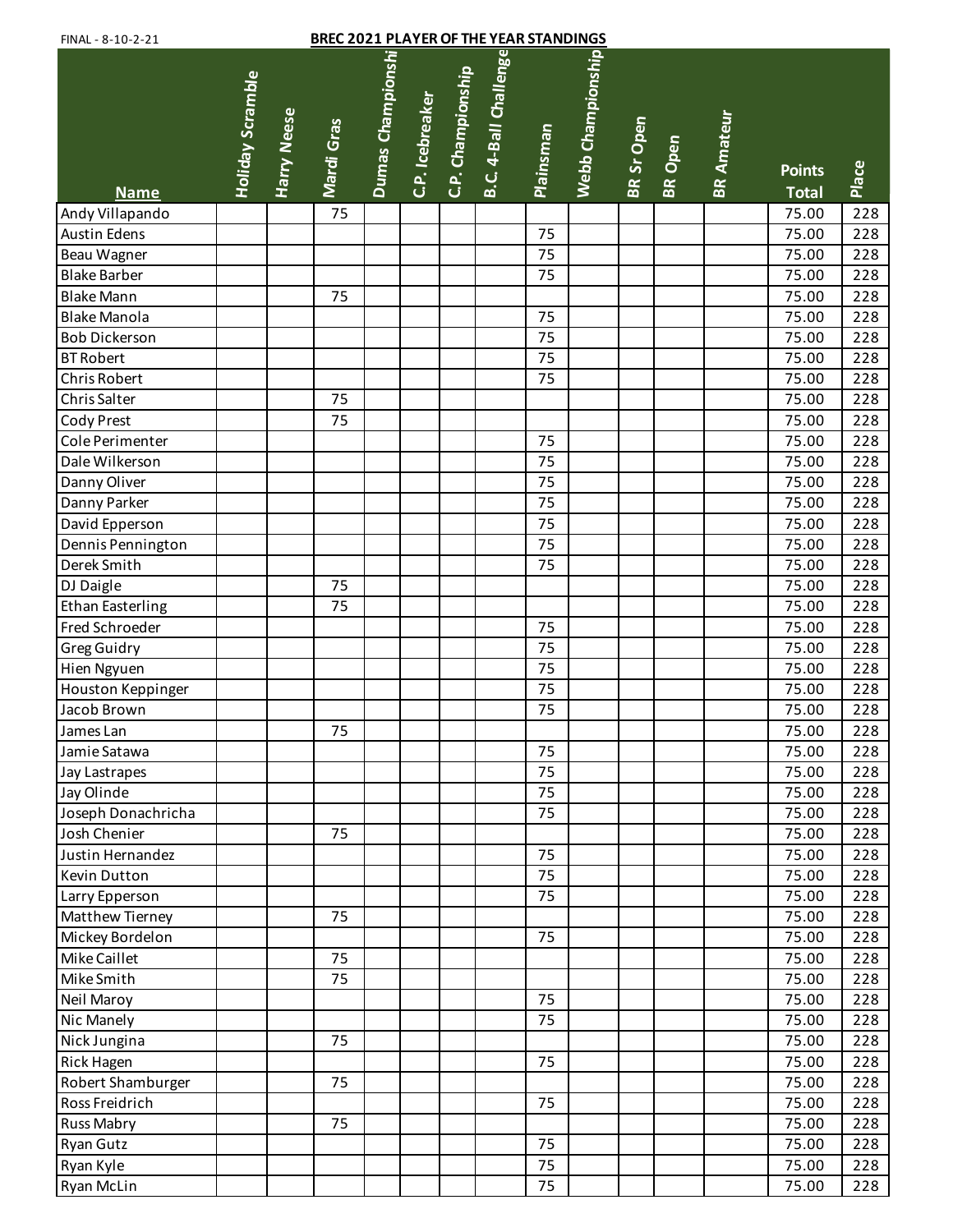| <b>BREC 2021 PLAYER OF THE YEAR STANDINGS</b><br>FINAL - 8-10-2-21 |                  |                    |            |                   |                 |                   |                       |                  |                   |                   |                |                   |                               |       |
|--------------------------------------------------------------------|------------------|--------------------|------------|-------------------|-----------------|-------------------|-----------------------|------------------|-------------------|-------------------|----------------|-------------------|-------------------------------|-------|
| <b>Name</b>                                                        | Holiday Scramble | <b>Harry Neese</b> | Mardi Gras | Dumas Championshi | C.P. Icebreaker | C.P. Championship | B.C. 4-Ball Challenge | <b>Plainsman</b> | Webb Championship | <b>BR Sr Open</b> | <b>BR</b> Open | <b>BR Amateur</b> | <b>Points</b><br><b>Total</b> | Place |
| Andy Villapando                                                    |                  |                    | 75         |                   |                 |                   |                       |                  |                   |                   |                |                   | 75.00                         | 228   |
| <b>Austin Edens</b>                                                |                  |                    |            |                   |                 |                   |                       | 75               |                   |                   |                |                   | 75.00                         | 228   |
| Beau Wagner                                                        |                  |                    |            |                   |                 |                   |                       | 75               |                   |                   |                |                   | 75.00                         | 228   |
| <b>Blake Barber</b>                                                |                  |                    |            |                   |                 |                   |                       | 75               |                   |                   |                |                   | 75.00                         | 228   |
| <b>Blake Mann</b>                                                  |                  |                    | 75         |                   |                 |                   |                       |                  |                   |                   |                |                   | 75.00                         | 228   |
| <b>Blake Manola</b>                                                |                  |                    |            |                   |                 |                   |                       | 75               |                   |                   |                |                   | 75.00                         | 228   |
| <b>Bob Dickerson</b>                                               |                  |                    |            |                   |                 |                   |                       | 75               |                   |                   |                |                   | 75.00                         | 228   |
| <b>BT Robert</b>                                                   |                  |                    |            |                   |                 |                   |                       | 75               |                   |                   |                |                   | 75.00                         | 228   |
| <b>Chris Robert</b>                                                |                  |                    |            |                   |                 |                   |                       | 75               |                   |                   |                |                   | 75.00                         | 228   |
| Chris Salter                                                       |                  |                    | 75         |                   |                 |                   |                       |                  |                   |                   |                |                   | 75.00                         | 228   |
| Cody Prest                                                         |                  |                    | 75         |                   |                 |                   |                       |                  |                   |                   |                |                   | 75.00                         | 228   |
| Cole Perimenter                                                    |                  |                    |            |                   |                 |                   |                       | 75               |                   |                   |                |                   | 75.00                         | 228   |
| Dale Wilkerson                                                     |                  |                    |            |                   |                 |                   |                       | 75               |                   |                   |                |                   | 75.00                         | 228   |
| Danny Oliver                                                       |                  |                    |            |                   |                 |                   |                       | 75               |                   |                   |                |                   | 75.00                         | 228   |
| Danny Parker                                                       |                  |                    |            |                   |                 |                   |                       | 75               |                   |                   |                |                   | 75.00                         | 228   |
| David Epperson                                                     |                  |                    |            |                   |                 |                   |                       | 75               |                   |                   |                |                   | 75.00                         | 228   |
| Dennis Pennington                                                  |                  |                    |            |                   |                 |                   |                       | 75               |                   |                   |                |                   | 75.00                         | 228   |
| Derek Smith                                                        |                  |                    |            |                   |                 |                   |                       | 75               |                   |                   |                |                   | 75.00                         | 228   |
| DJ Daigle                                                          |                  |                    | 75         |                   |                 |                   |                       |                  |                   |                   |                |                   | 75.00                         | 228   |
| <b>Ethan Easterling</b>                                            |                  |                    | 75         |                   |                 |                   |                       |                  |                   |                   |                |                   | 75.00                         | 228   |
| Fred Schroeder                                                     |                  |                    |            |                   |                 |                   |                       | 75               |                   |                   |                |                   | 75.00                         | 228   |
| <b>Greg Guidry</b>                                                 |                  |                    |            |                   |                 |                   |                       | 75               |                   |                   |                |                   | 75.00                         | 228   |
| Hien Ngyuen                                                        |                  |                    |            |                   |                 |                   |                       | 75               |                   |                   |                |                   | 75.00                         | 228   |
| Houston Keppinger                                                  |                  |                    |            |                   |                 |                   |                       | 75               |                   |                   |                |                   | 75.00                         | 228   |
| Jacob Brown                                                        |                  |                    |            |                   |                 |                   |                       | 75               |                   |                   |                |                   | 75.00                         | 228   |
| James Lan                                                          |                  |                    | 75         |                   |                 |                   |                       |                  |                   |                   |                |                   | 75.00                         | 228   |
| Jamie Satawa                                                       |                  |                    |            |                   |                 |                   |                       | 75               |                   |                   |                |                   | 75.00                         | 228   |
| Jay Lastrapes                                                      |                  |                    |            |                   |                 |                   |                       | 75               |                   |                   |                |                   | 75.00                         | 228   |
| Jay Olinde                                                         |                  |                    |            |                   |                 |                   |                       | 75               |                   |                   |                |                   | 75.00                         | 228   |
| Joseph Donachricha                                                 |                  |                    |            |                   |                 |                   |                       | 75               |                   |                   |                |                   | 75.00                         | 228   |
| Josh Chenier                                                       |                  |                    | 75         |                   |                 |                   |                       |                  |                   |                   |                |                   | 75.00                         | 228   |
| Justin Hernandez                                                   |                  |                    |            |                   |                 |                   |                       | 75               |                   |                   |                |                   | 75.00                         | 228   |
| Kevin Dutton                                                       |                  |                    |            |                   |                 |                   |                       | 75               |                   |                   |                |                   | 75.00                         | 228   |
| Larry Epperson                                                     |                  |                    |            |                   |                 |                   |                       | 75               |                   |                   |                |                   | 75.00                         | 228   |
| Matthew Tierney                                                    |                  |                    | 75         |                   |                 |                   |                       |                  |                   |                   |                |                   | 75.00                         | 228   |
| Mickey Bordelon                                                    |                  |                    |            |                   |                 |                   |                       | 75               |                   |                   |                |                   | 75.00                         | 228   |
| Mike Caillet                                                       |                  |                    | 75         |                   |                 |                   |                       |                  |                   |                   |                |                   | 75.00                         | 228   |
| Mike Smith                                                         |                  |                    | 75         |                   |                 |                   |                       |                  |                   |                   |                |                   | 75.00                         | 228   |
| Neil Maroy                                                         |                  |                    |            |                   |                 |                   |                       | 75               |                   |                   |                |                   | 75.00                         | 228   |
| Nic Manely                                                         |                  |                    |            |                   |                 |                   |                       | 75               |                   |                   |                |                   | 75.00                         | 228   |
| Nick Jungina                                                       |                  |                    | 75         |                   |                 |                   |                       |                  |                   |                   |                |                   | 75.00                         | 228   |
| <b>Rick Hagen</b>                                                  |                  |                    |            |                   |                 |                   |                       | 75               |                   |                   |                |                   | 75.00                         | 228   |
| Robert Shamburger                                                  |                  |                    | 75         |                   |                 |                   |                       |                  |                   |                   |                |                   | 75.00                         | 228   |
| Ross Freidrich                                                     |                  |                    |            |                   |                 |                   |                       | 75               |                   |                   |                |                   | 75.00                         | 228   |
| <b>Russ Mabry</b>                                                  |                  |                    | 75         |                   |                 |                   |                       |                  |                   |                   |                |                   | 75.00                         | 228   |
| <b>Ryan Gutz</b>                                                   |                  |                    |            |                   |                 |                   |                       | 75               |                   |                   |                |                   | 75.00                         | 228   |
| Ryan Kyle                                                          |                  |                    |            |                   |                 |                   |                       | 75               |                   |                   |                |                   | 75.00                         | 228   |
| Ryan McLin                                                         |                  |                    |            |                   |                 |                   |                       | 75               |                   |                   |                |                   | 75.00                         | 228   |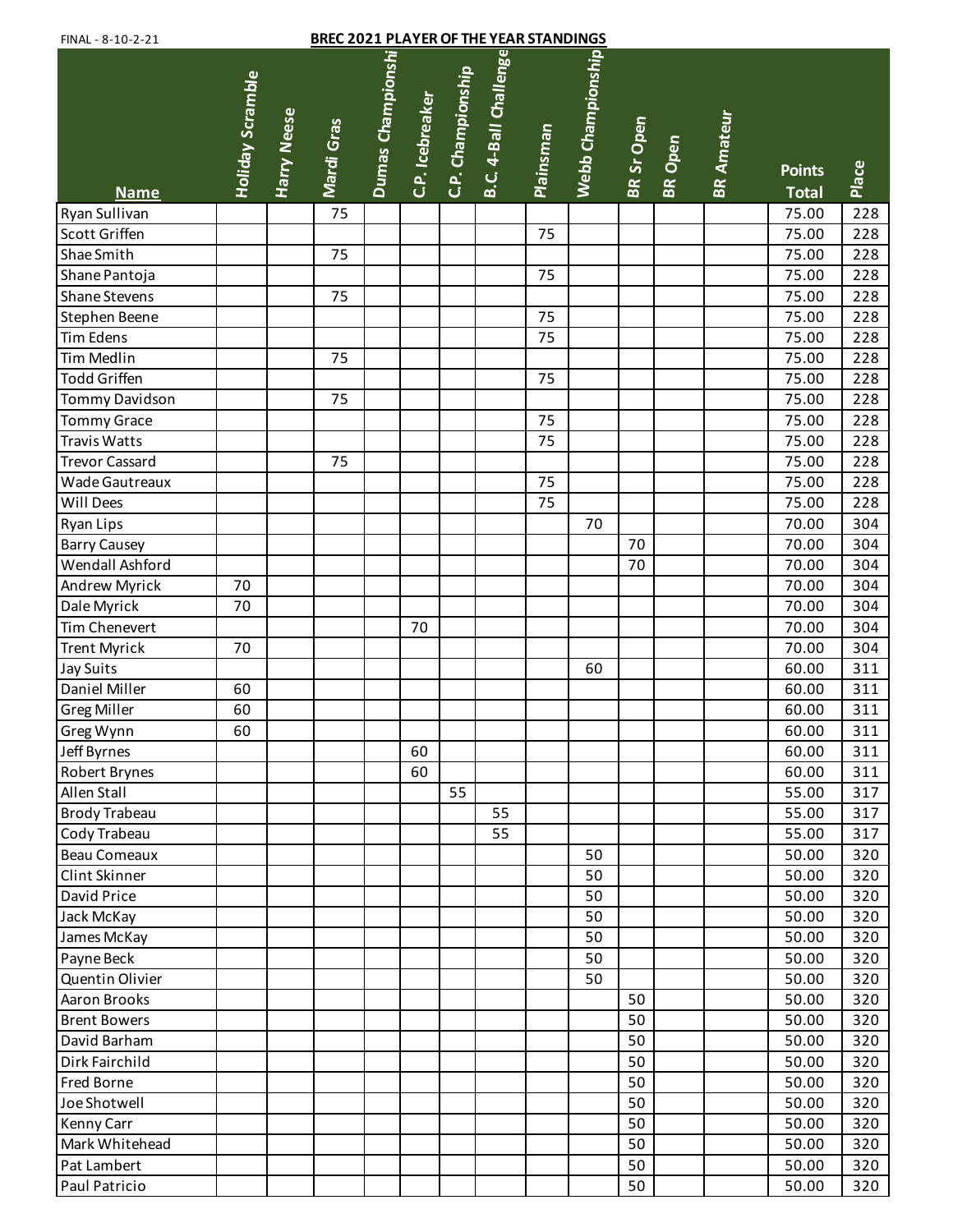| <b>BREC 2021 PLAYER OF THE YEAR STANDINGS</b><br>FINAL - 8-10-2-21 |                  |                    |            |                   |                 |                   |                       |                  |                   |            |                |                   |                               |       |
|--------------------------------------------------------------------|------------------|--------------------|------------|-------------------|-----------------|-------------------|-----------------------|------------------|-------------------|------------|----------------|-------------------|-------------------------------|-------|
| <b>Name</b>                                                        | Holiday Scramble | <b>Harry Neese</b> | Mardi Gras | Dumas Championshi | C.P. Icebreaker | C.P. Championship | B.C. 4-Ball Challenge | <b>Plainsman</b> | Webb Championship | BR Sr Open | <b>BR</b> Open | <b>BR Amateur</b> | <b>Points</b><br><b>Total</b> | Place |
| Ryan Sullivan                                                      |                  |                    | 75         |                   |                 |                   |                       |                  |                   |            |                |                   | 75.00                         | 228   |
| <b>Scott Griffen</b>                                               |                  |                    |            |                   |                 |                   |                       | 75               |                   |            |                |                   | 75.00                         | 228   |
| Shae Smith                                                         |                  |                    | 75         |                   |                 |                   |                       |                  |                   |            |                |                   | 75.00                         | 228   |
| Shane Pantoja                                                      |                  |                    |            |                   |                 |                   |                       | 75               |                   |            |                |                   | 75.00                         | 228   |
| <b>Shane Stevens</b>                                               |                  |                    | 75         |                   |                 |                   |                       |                  |                   |            |                |                   | 75.00                         | 228   |
| Stephen Beene                                                      |                  |                    |            |                   |                 |                   |                       | 75               |                   |            |                |                   | 75.00                         | 228   |
| <b>Tim Edens</b>                                                   |                  |                    |            |                   |                 |                   |                       | 75               |                   |            |                |                   | 75.00                         | 228   |
| Tim Medlin                                                         |                  |                    | 75         |                   |                 |                   |                       |                  |                   |            |                |                   | 75.00                         | 228   |
| <b>Todd Griffen</b>                                                |                  |                    |            |                   |                 |                   |                       | 75               |                   |            |                |                   | 75.00                         | 228   |
| Tommy Davidson                                                     |                  |                    | 75         |                   |                 |                   |                       |                  |                   |            |                |                   | 75.00                         | 228   |
| <b>Tommy Grace</b>                                                 |                  |                    |            |                   |                 |                   |                       | 75               |                   |            |                |                   | 75.00                         | 228   |
| Travis Watts                                                       |                  |                    |            |                   |                 |                   |                       | 75               |                   |            |                |                   | 75.00                         | 228   |
| <b>Trevor Cassard</b>                                              |                  |                    | 75         |                   |                 |                   |                       |                  |                   |            |                |                   | 75.00                         | 228   |
| Wade Gautreaux                                                     |                  |                    |            |                   |                 |                   |                       | 75               |                   |            |                |                   | 75.00                         | 228   |
| Will Dees                                                          |                  |                    |            |                   |                 |                   |                       | 75               |                   |            |                |                   | 75.00                         | 228   |
| <b>Ryan Lips</b>                                                   |                  |                    |            |                   |                 |                   |                       |                  | 70                |            |                |                   | 70.00                         | 304   |
| <b>Barry Causey</b>                                                |                  |                    |            |                   |                 |                   |                       |                  |                   | 70         |                |                   | 70.00                         | 304   |
| Wendall Ashford                                                    |                  |                    |            |                   |                 |                   |                       |                  |                   | 70         |                |                   | 70.00                         | 304   |
| <b>Andrew Myrick</b>                                               | 70               |                    |            |                   |                 |                   |                       |                  |                   |            |                |                   | 70.00                         | 304   |
| Dale Myrick                                                        | 70               |                    |            |                   |                 |                   |                       |                  |                   |            |                |                   | 70.00                         | 304   |
| Tim Chenevert                                                      |                  |                    |            |                   | 70              |                   |                       |                  |                   |            |                |                   | 70.00                         | 304   |
| <b>Trent Myrick</b>                                                | 70               |                    |            |                   |                 |                   |                       |                  |                   |            |                |                   | 70.00                         | 304   |
| Jay Suits                                                          |                  |                    |            |                   |                 |                   |                       |                  | 60                |            |                |                   | 60.00                         | 311   |
| Daniel Miller                                                      | 60               |                    |            |                   |                 |                   |                       |                  |                   |            |                |                   | 60.00                         | 311   |
| <b>Greg Miller</b>                                                 | 60               |                    |            |                   |                 |                   |                       |                  |                   |            |                |                   | 60.00                         | 311   |
| Greg Wynn                                                          | 60               |                    |            |                   |                 |                   |                       |                  |                   |            |                |                   | 60.00                         | 311   |
| Jeff Byrnes                                                        |                  |                    |            |                   | 60              |                   |                       |                  |                   |            |                |                   | 60.00                         | 311   |
| Robert Brynes                                                      |                  |                    |            |                   | 60              |                   |                       |                  |                   |            |                |                   | 60.00                         | 311   |
| Allen Stall                                                        |                  |                    |            |                   |                 | 55                |                       |                  |                   |            |                |                   | 55.00                         | 317   |
| <b>Brody Trabeau</b>                                               |                  |                    |            |                   |                 |                   | 55                    |                  |                   |            |                |                   | 55.00                         | 317   |
| Cody Trabeau                                                       |                  |                    |            |                   |                 |                   | 55                    |                  |                   |            |                |                   | 55.00                         | 317   |
| Beau Comeaux                                                       |                  |                    |            |                   |                 |                   |                       |                  | 50                |            |                |                   | 50.00                         | 320   |
| Clint Skinner                                                      |                  |                    |            |                   |                 |                   |                       |                  | 50                |            |                |                   | 50.00                         | 320   |
| David Price                                                        |                  |                    |            |                   |                 |                   |                       |                  | 50                |            |                |                   | 50.00                         | 320   |
| Jack McKay                                                         |                  |                    |            |                   |                 |                   |                       |                  | 50                |            |                |                   | 50.00                         | 320   |
| James McKay                                                        |                  |                    |            |                   |                 |                   |                       |                  | 50                |            |                |                   | 50.00                         | 320   |
| Payne Beck                                                         |                  |                    |            |                   |                 |                   |                       |                  | 50                |            |                |                   | 50.00                         | 320   |
| Quentin Olivier                                                    |                  |                    |            |                   |                 |                   |                       |                  | 50                |            |                |                   | 50.00                         | 320   |
| Aaron Brooks                                                       |                  |                    |            |                   |                 |                   |                       |                  |                   | 50         |                |                   | 50.00                         | 320   |
| <b>Brent Bowers</b>                                                |                  |                    |            |                   |                 |                   |                       |                  |                   | 50         |                |                   | 50.00                         | 320   |
| David Barham                                                       |                  |                    |            |                   |                 |                   |                       |                  |                   | 50         |                |                   | 50.00                         | 320   |
| Dirk Fairchild                                                     |                  |                    |            |                   |                 |                   |                       |                  |                   | 50         |                |                   | 50.00                         | 320   |
| <b>Fred Borne</b>                                                  |                  |                    |            |                   |                 |                   |                       |                  |                   | 50         |                |                   | 50.00                         | 320   |
| Joe Shotwell                                                       |                  |                    |            |                   |                 |                   |                       |                  |                   | 50         |                |                   | 50.00                         | 320   |
| Kenny Carr                                                         |                  |                    |            |                   |                 |                   |                       |                  |                   | 50         |                |                   | 50.00                         | 320   |
| Mark Whitehead                                                     |                  |                    |            |                   |                 |                   |                       |                  |                   | 50         |                |                   | 50.00                         | 320   |
| Pat Lambert                                                        |                  |                    |            |                   |                 |                   |                       |                  |                   | 50         |                |                   | 50.00                         | 320   |
| Paul Patricio                                                      |                  |                    |            |                   |                 |                   |                       |                  |                   | 50         |                |                   | 50.00                         | 320   |